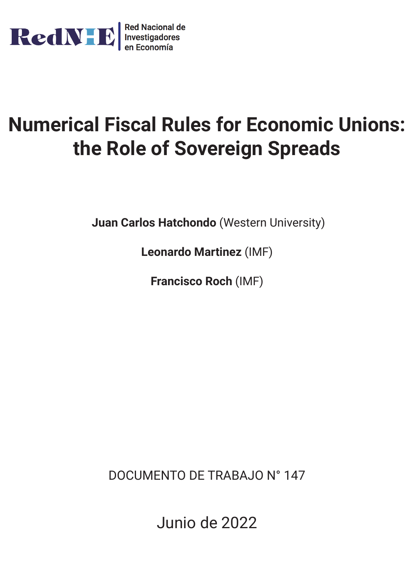

## **Numerical Fiscal Rules for Economic Unions: the Role of Sovereign Spreads**

**Juan Carlos Hatchondo** (Western University)

**Leonardo Martinez** (IMF)

**Francisco Roch** (IMF)

DOCUMENTO DE TRABAJO N° 147

Junio de 2022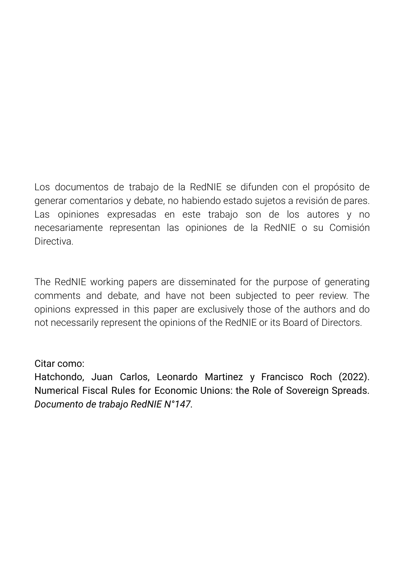Los documentos de trabajo de la RedNIE se difunden con el propósito de generar comentarios y debate, no habiendo estado sujetos a revisión de pares. Las opiniones expresadas en este trabajo son de los autores y no necesariamente representan las opiniones de la RedNIE o su Comisión **Directiva** 

The RedNIE working papers are disseminated for the purpose of generating comments and debate, and have not been subjected to peer review. The opinions expressed in this paper are exclusively those of the authors and do not necessarily represent the opinions of the RedNIE or its Board of Directors.

## Citar como:

Hatchondo, Juan Carlos, Leonardo Martinez y Francisco Roch (2022). Numerical Fiscal Rules for Economic Unions: the Role of Sovereign Spreads. *Documento de trabajo RedNIE N°147.*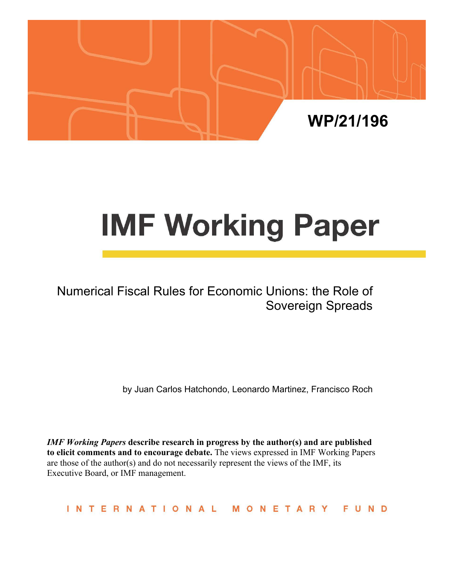

# **IMF Working Paper**

Numerical Fiscal Rules for Economic Unions: the Role of Sovereign Spreads

by Juan Carlos Hatchondo, Leonardo Martinez, Francisco Roch

*IMF Working Papers* **describe research in progress by the author(s) and are published to elicit comments and to encourage debate.** The views expressed in IMF Working Papers are those of the author(s) and do not necessarily represent the views of the IMF, its Executive Board, or IMF management.

INTERNATIONAL MONETARY FUND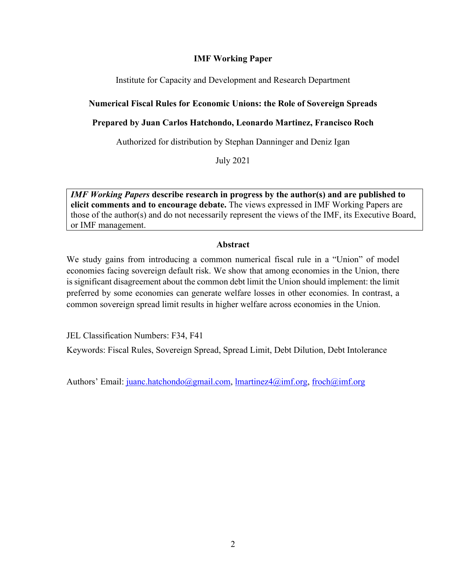## **IMF Working Paper**

Institute for Capacity and Development and Research Department

## **Numerical Fiscal Rules for Economic Unions: the Role of Sovereign Spreads**

## **Prepared by Juan Carlos Hatchondo, Leonardo Martinez, Francisco Roch**

Authorized for distribution by Stephan Danninger and Deniz Igan

July 2021

*IMF Working Papers* **describe research in progress by the author(s) and are published to elicit comments and to encourage debate.** The views expressed in IMF Working Papers are those of the author(s) and do not necessarily represent the views of the IMF, its Executive Board, or IMF management.

## **Abstract**

We study gains from introducing a common numerical fiscal rule in a "Union" of model economies facing sovereign default risk. We show that among economies in the Union, there is significant disagreement about the common debt limit the Union should implement: the limit preferred by some economies can generate welfare losses in other economies. In contrast, a common sovereign spread limit results in higher welfare across economies in the Union.

JEL Classification Numbers: F34, F41

Keywords: Fiscal Rules, Sovereign Spread, Spread Limit, Debt Dilution, Debt Intolerance

Authors' Email: juanc.hatchondo@gmail.com, lmartinez4@imf.org, froch@imf.org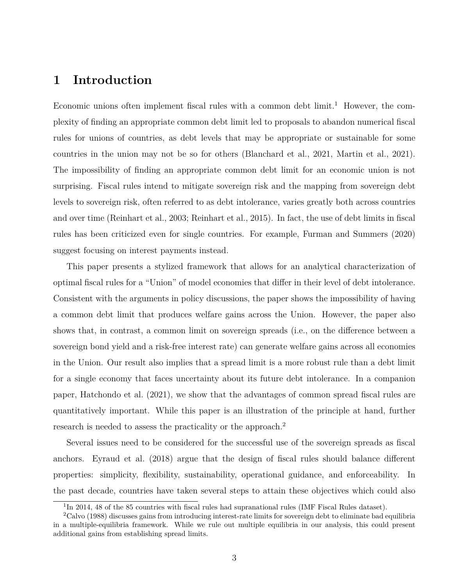## **1 Introduction**

Economic unions often implement fiscal rules with a common debt  $\lim_{t \to 1}$  However, the complexity of finding an appropriate common debt limit led to proposals to abandon numerical fiscal rules for unions of countries, as debt levels that may be appropriate or sustainable for some countries in the union may not be so for others (Blanchard et al., 2021, Martin et al., 2021). The impossibility of finding an appropriate common debt limit for an economic union is not surprising. Fiscal rules intend to mitigate sovereign risk and the mapping from sovereign debt levels to sovereign risk, often referred to as debt intolerance, varies greatly both across countries and over time (Reinhart et al., 2003; Reinhart et al., 2015). In fact, the use of debt limits in fiscal rules has been criticized even for single countries. For example, Furman and Summers (2020) suggest focusing on interest payments instead.

This paper presents a stylized framework that allows for an analytical characterization of optimal fiscal rules for a "Union" of model economies that differ in their level of debt intolerance. Consistent with the arguments in policy discussions, the paper shows the impossibility of having a common debt limit that produces welfare gains across the Union. However, the paper also shows that, in contrast, a common limit on sovereign spreads (i.e., on the difference between a sovereign bond yield and a risk-free interest rate) can generate welfare gains across all economies in the Union. Our result also implies that a spread limit is a more robust rule than a debt limit for a single economy that faces uncertainty about its future debt intolerance. In a companion paper, Hatchondo et al. (2021), we show that the advantages of common spread fiscal rules are quantitatively important. While this paper is an illustration of the principle at hand, further research is needed to assess the practicality or the approach.<sup>2</sup>

Several issues need to be considered for the successful use of the sovereign spreads as fiscal anchors. Eyraud et al. (2018) argue that the design of fiscal rules should balance different properties: simplicity, flexibility, sustainability, operational guidance, and enforceability. In the past decade, countries have taken several steps to attain these objectives which could also

<sup>&</sup>lt;sup>1</sup>In 2014, 48 of the 85 countries with fiscal rules had supranational rules (IMF Fiscal Rules dataset).

<sup>&</sup>lt;sup>2</sup>Calvo (1988) discusses gains from introducing interest-rate limits for sovereign debt to eliminate bad equilibria in a multiple-equilibria framework. While we rule out multiple equilibria in our analysis, this could present additional gains from establishing spread limits.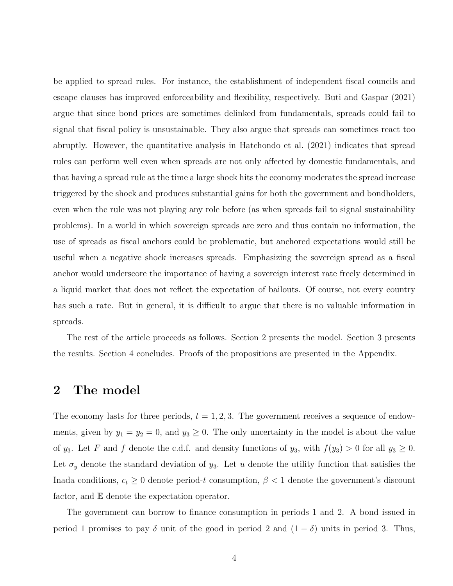be applied to spread rules. For instance, the establishment of independent fiscal councils and escape clauses has improved enforceability and flexibility, respectively. Buti and Gaspar (2021) argue that since bond prices are sometimes delinked from fundamentals, spreads could fail to signal that fiscal policy is unsustainable. They also argue that spreads can sometimes react too abruptly. However, the quantitative analysis in Hatchondo et al. (2021) indicates that spread rules can perform well even when spreads are not only affected by domestic fundamentals, and that having a spread rule at the time a large shock hits the economy moderates the spread increase triggered by the shock and produces substantial gains for both the government and bondholders, even when the rule was not playing any role before (as when spreads fail to signal sustainability problems). In a world in which sovereign spreads are zero and thus contain no information, the use of spreads as fiscal anchors could be problematic, but anchored expectations would still be useful when a negative shock increases spreads. Emphasizing the sovereign spread as a fiscal anchor would underscore the importance of having a sovereign interest rate freely determined in a liquid market that does not reflect the expectation of bailouts. Of course, not every country has such a rate. But in general, it is difficult to argue that there is no valuable information in spreads.

The rest of the article proceeds as follows. Section 2 presents the model. Section 3 presents the results. Section 4 concludes. Proofs of the propositions are presented in the Appendix.

## **2 The model**

The economy lasts for three periods,  $t = 1, 2, 3$ . The government receives a sequence of endowments, given by  $y_1 = y_2 = 0$ , and  $y_3 \ge 0$ . The only uncertainty in the model is about the value of *y*<sub>3</sub>. Let *F* and *f* denote the c.d.f. and density functions of *y*<sub>3</sub>, with  $f(y_3) > 0$  for all  $y_3 \ge 0$ . Let  $\sigma_y$  denote the standard deviation of  $y_3$ . Let *u* denote the utility function that satisfies the Inada conditions,  $c_t \geq 0$  denote period-*t* consumption,  $\beta < 1$  denote the government's discount factor, and E denote the expectation operator.

The government can borrow to finance consumption in periods 1 and 2. A bond issued in period 1 promises to pay  $\delta$  unit of the good in period 2 and  $(1 - \delta)$  units in period 3. Thus,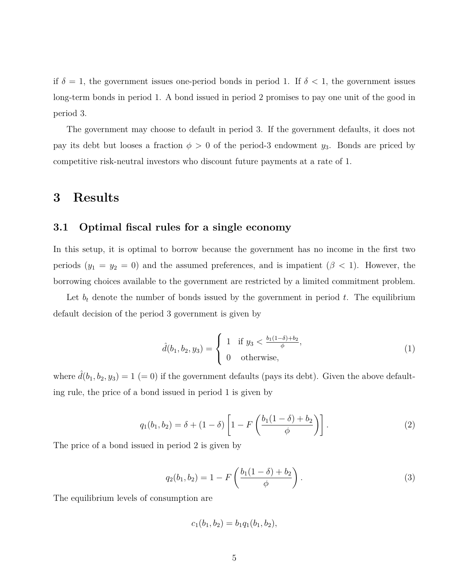if  $\delta = 1$ , the government issues one-period bonds in period 1. If  $\delta < 1$ , the government issues long-term bonds in period 1. A bond issued in period 2 promises to pay one unit of the good in period 3.

The government may choose to default in period 3. If the government defaults, it does not pay its debt but looses a fraction  $\phi > 0$  of the period-3 endowment  $y_3$ . Bonds are priced by competitive risk-neutral investors who discount future payments at a rate of 1.

## **3 Results**

## **3.1 Optimal fiscal rules for a single economy**

In this setup, it is optimal to borrow because the government has no income in the first two periods  $(y_1 = y_2 = 0)$  and the assumed preferences, and is impatient  $(\beta < 1)$ . However, the borrowing choices available to the government are restricted by a limited commitment problem.

Let  $b_t$  denote the number of bonds issued by the government in period  $t$ . The equilibrium default decision of the period 3 government is given by

$$
\hat{d}(b_1, b_2, y_3) = \begin{cases} 1 & \text{if } y_3 < \frac{b_1(1-\delta) + b_2}{\phi}, \\ 0 & \text{otherwise,} \end{cases}
$$
 (1)

where  $\hat{d}(b_1, b_2, y_3) = 1$  (= 0) if the government defaults (pays its debt). Given the above defaulting rule, the price of a bond issued in period 1 is given by

$$
q_1(b_1, b_2) = \delta + (1 - \delta) \left[ 1 - F\left( \frac{b_1(1 - \delta) + b_2}{\phi} \right) \right].
$$
 (2)

The price of a bond issued in period 2 is given by

$$
q_2(b_1, b_2) = 1 - F\left(\frac{b_1(1-\delta) + b_2}{\phi}\right).
$$
 (3)

The equilibrium levels of consumption are

$$
c_1(b_1, b_2) = b_1 q_1(b_1, b_2),
$$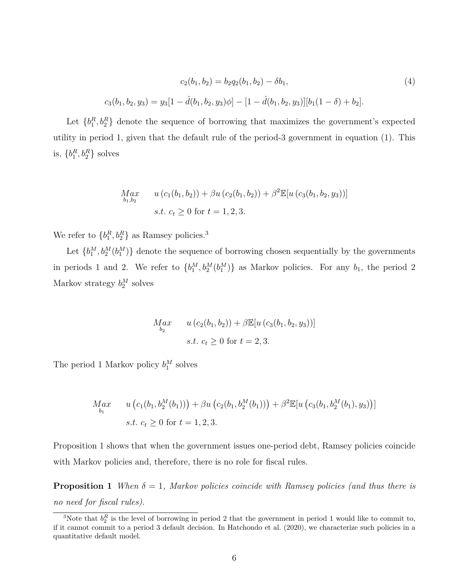$$
c_2(b_1, b_2) = b_2 q_2(b_1, b_2) - \delta b_1,
$$
  
\n
$$
c_3(b_1, b_2, y_3) = y_3[1 - \hat{d}(b_1, b_2, y_3)\phi] - [1 - \hat{d}(b_1, b_2, y_3)][b_1(1 - \delta) + b_2].
$$
\n(4)

Let  ${b_1^R, b_2^R}$  denote the sequence of borrowing that maximizes the government's expected utility in period 1, given that the default rule of the period-3 government in equation (1). This is,  ${b_1^R, b_2^R}$  solves

$$
Max_{b_1, b_2} \qquad u(c_1(b_1, b_2)) + \beta u(c_2(b_1, b_2)) + \beta^2 \mathbb{E}[u(c_3(b_1, b_2, y_3))]
$$
  
s.t.  $c_t \ge 0$  for  $t = 1, 2, 3$ .

We refer to  ${b_1^R, b_2^R}$  as Ramsey policies.<sup>3</sup>

Let  ${b_1^M, b_2^M(b_1^M)}$  denote the sequence of borrowing chosen sequentially by the governments in periods 1 and 2. We refer to  ${b_1^M, b_2^M(b_1^M)}$  as Markov policies. For any  $b_1$ , the period 2 Markov strategy  $b_2^M$  solves

$$
Max_{b_2} \t u (c_2(b_1, b_2)) + \beta \mathbb{E}[u (c_3(b_1, b_2, y_3))]
$$
  
s.t.  $c_t \ge 0$  for  $t = 2, 3$ .

The period 1 Markov policy  $b_1^M$  solves

$$
M_{b_1}^{a} \qquad u\left(c_1(b_1, b_2^M(b_1))\right) + \beta u\left(c_2(b_1, b_2^M(b_1))\right) + \beta^2 \mathbb{E}[u\left(c_3(b_1, b_2^M(b_1), y_3)\right)]
$$
  
s.t.  $c_t \ge 0$  for  $t = 1, 2, 3$ .

Proposition 1 shows that when the government issues one-period debt, Ramsey policies coincide with Markov policies and, therefore, there is no role for fiscal rules.

**Proposition 1** *When*  $\delta = 1$ *, Markov policies coincide with Ramsey policies (and thus there is no need for fiscal rules).*

<sup>&</sup>lt;sup>3</sup>Note that  $b_2^R$  is the level of borrowing in period 2 that the government in period 1 would like to commit to, if it cannot commit to a period 3 default decision. In Hatchondo et al. (2020), we characterize such policies in a quantitative default model.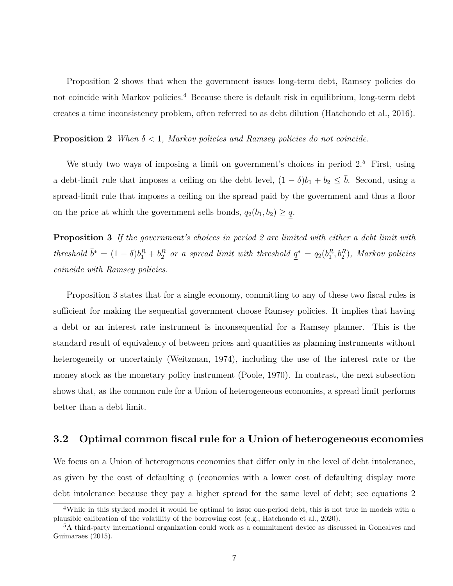Proposition 2 shows that when the government issues long-term debt, Ramsey policies do not coincide with Markov policies.<sup>4</sup> Because there is default risk in equilibrium, long-term debt creates a time inconsistency problem, often referred to as debt dilution (Hatchondo et al., 2016).

**Proposition 2** *When*  $\delta$  < 1*, Markov policies and Ramsey policies do not coincide.* 

We study two ways of imposing a limit on government's choices in period  $2<sup>5</sup>$  First, using a debt-limit rule that imposes a ceiling on the debt level,  $(1 - \delta)b_1 + b_2 \leq \overline{b}$ . Second, using a spread-limit rule that imposes a ceiling on the spread paid by the government and thus a floor on the price at which the government sells bonds,  $q_2(b_1, b_2) \geq q$ .

**Proposition 3** *If the government's choices in period 2 are limited with either a debt limit with* threshold  $\bar{b}^* = (1 - \delta)b_1^R + b_2^R$  or a spread limit with threshold  $q^* = q_2(b_1^R, b_2^R)$ , Markov policies *coincide with Ramsey policies.*

Proposition 3 states that for a single economy, committing to any of these two fiscal rules is sufficient for making the sequential government choose Ramsey policies. It implies that having a debt or an interest rate instrument is inconsequential for a Ramsey planner. This is the standard result of equivalency of between prices and quantities as planning instruments without heterogeneity or uncertainty (Weitzman, 1974), including the use of the interest rate or the money stock as the monetary policy instrument (Poole, 1970). In contrast, the next subsection shows that, as the common rule for a Union of heterogeneous economies, a spread limit performs better than a debt limit.

## **3.2 Optimal common fiscal rule for a Union of heterogeneous economies**

We focus on a Union of heterogenous economies that differ only in the level of debt intolerance, as given by the cost of defaulting  $\phi$  (economies with a lower cost of defaulting display more debt intolerance because they pay a higher spread for the same level of debt; see equations 2

<sup>&</sup>lt;sup>4</sup>While in this stylized model it would be optimal to issue one-period debt, this is not true in models with a plausible calibration of the volatility of the borrowing cost (e.g., Hatchondo et al., 2020).

<sup>5</sup>A third-party international organization could work as a commitment device as discussed in Goncalves and Guimaraes (2015).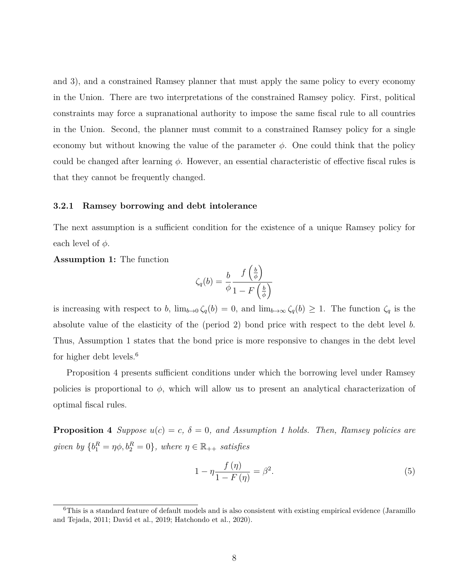and 3), and a constrained Ramsey planner that must apply the same policy to every economy in the Union. There are two interpretations of the constrained Ramsey policy. First, political constraints may force a supranational authority to impose the same fiscal rule to all countries in the Union. Second, the planner must commit to a constrained Ramsey policy for a single economy but without knowing the value of the parameter  $\phi$ . One could think that the policy could be changed after learning *ϕ*. However, an essential characteristic of effective fiscal rules is that they cannot be frequently changed.

#### **3.2.1 Ramsey borrowing and debt intolerance**

The next assumption is a sufficient condition for the existence of a unique Ramsey policy for each level of  $\phi$ .

#### **Assumption 1:** The function

$$
\zeta_q(b) = \frac{b}{\phi} \frac{f\left(\frac{b}{\phi}\right)}{1 - F\left(\frac{b}{\phi}\right)}
$$

is increasing with respect to *b*,  $\lim_{b\to 0} \zeta_q(b) = 0$ , and  $\lim_{b\to \infty} \zeta_q(b) \geq 1$ . The function  $\zeta_q$  is the absolute value of the elasticity of the (period 2) bond price with respect to the debt level *b*. Thus, Assumption 1 states that the bond price is more responsive to changes in the debt level for higher debt levels.<sup>6</sup>

Proposition 4 presents sufficient conditions under which the borrowing level under Ramsey policies is proportional to  $\phi$ , which will allow us to present an analytical characterization of optimal fiscal rules.

**Proposition 4** *Suppose*  $u(c) = c$ ,  $\delta = 0$ *, and Assumption 1 holds. Then, Ramsey policies are given by*  ${b_1^R = \eta \phi, b_2^R = 0}$ , where  $\eta \in \mathbb{R}_{++}$  satisfies

$$
1 - \eta \frac{f(\eta)}{1 - F(\eta)} = \beta^2. \tag{5}
$$

<sup>&</sup>lt;sup>6</sup>This is a standard feature of default models and is also consistent with existing empirical evidence (Jaramillo and Tejada, 2011; David et al., 2019; Hatchondo et al., 2020).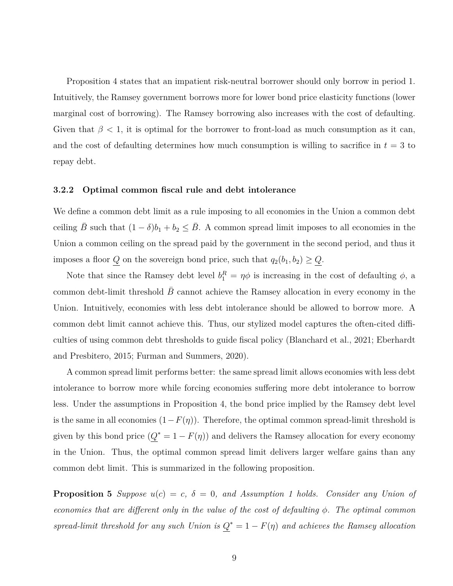Proposition 4 states that an impatient risk-neutral borrower should only borrow in period 1. Intuitively, the Ramsey government borrows more for lower bond price elasticity functions (lower marginal cost of borrowing). The Ramsey borrowing also increases with the cost of defaulting. Given that  $\beta$  < 1, it is optimal for the borrower to front-load as much consumption as it can, and the cost of defaulting determines how much consumption is willing to sacrifice in  $t = 3$  to repay debt.

#### **3.2.2 Optimal common fiscal rule and debt intolerance**

We define a common debt limit as a rule imposing to all economies in the Union a common debt ceiling  $\bar{B}$  such that  $(1 - \delta)b_1 + b_2 \leq \bar{B}$ . A common spread limit imposes to all economies in the Union a common ceiling on the spread paid by the government in the second period, and thus it imposes a floor *Q* on the sovereign bond price, such that  $q_2(b_1, b_2) \geq Q$ .

Note that since the Ramsey debt level  $b_1^R = \eta \phi$  is increasing in the cost of defaulting  $\phi$ , a common debt-limit threshold *B* cannot achieve the Ramsey allocation in every economy in the Union. Intuitively, economies with less debt intolerance should be allowed to borrow more. A common debt limit cannot achieve this. Thus, our stylized model captures the often-cited difficulties of using common debt thresholds to guide fiscal policy (Blanchard et al., 2021; Eberhardt and Presbitero, 2015; Furman and Summers, 2020).

A common spread limit performs better: the same spread limit allows economies with less debt intolerance to borrow more while forcing economies suffering more debt intolerance to borrow less. Under the assumptions in Proposition 4, the bond price implied by the Ramsey debt level is the same in all economies  $(1 - F(\eta))$ . Therefore, the optimal common spread-limit threshold is given by this bond price  $(Q^* = 1 - F(\eta))$  and delivers the Ramsey allocation for every economy in the Union. Thus, the optimal common spread limit delivers larger welfare gains than any common debt limit. This is summarized in the following proposition.

**Proposition 5** *Suppose*  $u(c) = c$ *,*  $\delta = 0$ *, and Assumption 1 holds. Consider any Union of economies that are different only in the value of the cost of defaulting ϕ. The optimal common spread-limit threshold for any such Union is*  $Q^* = 1 - F(\eta)$  *and achieves the Ramsey allocation*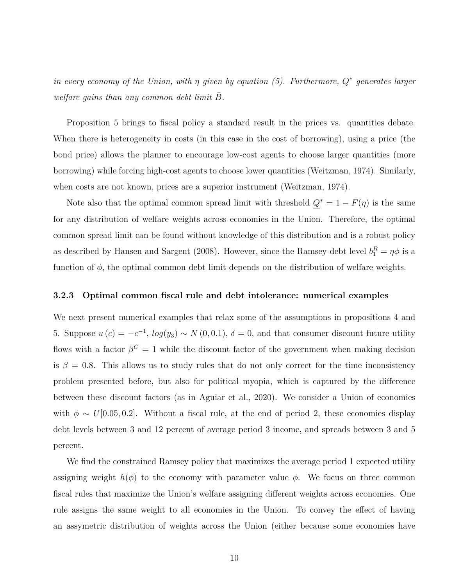*in every economy of the Union, with η given by equation (5). Furthermore, Q ∗ generates larger welfare gains than any common debt limit*  $\overline{B}$ *.* 

Proposition 5 brings to fiscal policy a standard result in the prices vs. quantities debate. When there is heterogeneity in costs (in this case in the cost of borrowing), using a price (the bond price) allows the planner to encourage low-cost agents to choose larger quantities (more borrowing) while forcing high-cost agents to choose lower quantities (Weitzman, 1974). Similarly, when costs are not known, prices are a superior instrument (Weitzman, 1974).

Note also that the optimal common spread limit with threshold  $Q^* = 1 - F(\eta)$  is the same for any distribution of welfare weights across economies in the Union. Therefore, the optimal common spread limit can be found without knowledge of this distribution and is a robust policy as described by Hansen and Sargent (2008). However, since the Ramsey debt level  $b_1^R = \eta \phi$  is a function of *ϕ*, the optimal common debt limit depends on the distribution of welfare weights.

#### **3.2.3 Optimal common fiscal rule and debt intolerance: numerical examples**

We next present numerical examples that relax some of the assumptions in propositions 4 and 5. Suppose  $u(c) = -c^{-1}$ ,  $log(y_3) \sim N(0, 0.1)$ ,  $\delta = 0$ , and that consumer discount future utility flows with a factor  $\beta^C = 1$  while the discount factor of the government when making decision is  $\beta = 0.8$ . This allows us to study rules that do not only correct for the time inconsistency problem presented before, but also for political myopia, which is captured by the difference between these discount factors (as in Aguiar et al., 2020). We consider a Union of economies with  $\phi \sim U[0.05, 0.2]$ . Without a fiscal rule, at the end of period 2, these economies display debt levels between 3 and 12 percent of average period 3 income, and spreads between 3 and 5 percent.

We find the constrained Ramsey policy that maximizes the average period 1 expected utility assigning weight  $h(\phi)$  to the economy with parameter value  $\phi$ . We focus on three common fiscal rules that maximize the Union's welfare assigning different weights across economies. One rule assigns the same weight to all economies in the Union. To convey the effect of having an assymetric distribution of weights across the Union (either because some economies have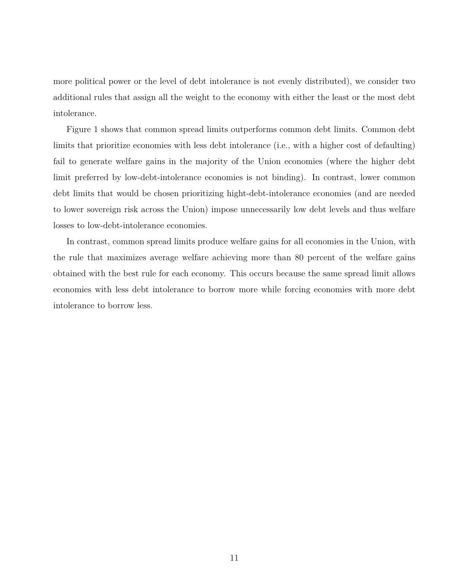more political power or the level of debt intolerance is not evenly distributed), we consider two additional rules that assign all the weight to the economy with either the least or the most debt intolerance.

Figure 1 shows that common spread limits outperforms common debt limits. Common debt limits that prioritize economies with less debt intolerance (i.e., with a higher cost of defaulting) fail to generate welfare gains in the majority of the Union economies (where the higher debt limit preferred by low-debt-intolerance economies is not binding). In contrast, lower common debt limits that would be chosen prioritizing hight-debt-intolerance economies (and are needed to lower sovereign risk across the Union) impose unnecessarily low debt levels and thus welfare losses to low-debt-intolerance economies.

In contrast, common spread limits produce welfare gains for all economies in the Union, with the rule that maximizes average welfare achieving more than 80 percent of the welfare gains obtained with the best rule for each economy. This occurs because the same spread limit allows economies with less debt intolerance to borrow more while forcing economies with more debt intolerance to borrow less.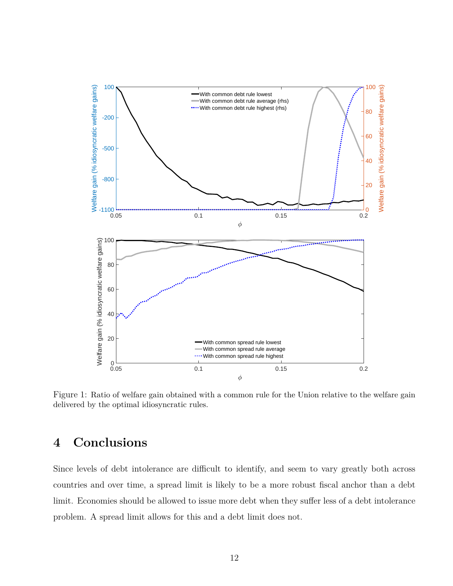

Figure 1: Ratio of welfare gain obtained with a common rule for the Union relative to the welfare gain delivered by the optimal idiosyncratic rules.

## **4 Conclusions**

Since levels of debt intolerance are difficult to identify, and seem to vary greatly both across countries and over time, a spread limit is likely to be a more robust fiscal anchor than a debt limit. Economies should be allowed to issue more debt when they suffer less of a debt intolerance problem. A spread limit allows for this and a debt limit does not.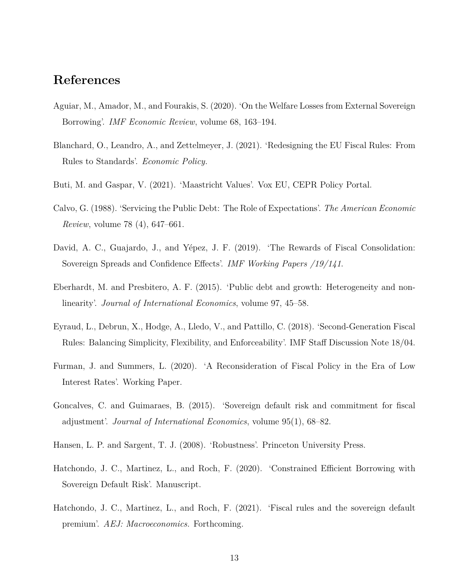## **References**

- Aguiar, M., Amador, M., and Fourakis, S. (2020). 'On the Welfare Losses from External Sovereign Borrowing'. *IMF Economic Review*, volume 68, 163–194.
- Blanchard, O., Leandro, A., and Zettelmeyer, J. (2021). 'Redesigning the EU Fiscal Rules: From Rules to Standards'. *Economic Policy*.
- Buti, M. and Gaspar, V. (2021). 'Maastricht Values'. Vox EU, CEPR Policy Portal.
- Calvo, G. (1988). 'Servicing the Public Debt: The Role of Expectations'. *The American Economic Review*, volume 78 (4), 647–661.
- David, A. C., Guajardo, J., and Yépez, J. F. (2019). 'The Rewards of Fiscal Consolidation: Sovereign Spreads and Confidence Effects'. *IMF Working Papers /19/141*.
- Eberhardt, M. and Presbitero, A. F. (2015). 'Public debt and growth: Heterogeneity and nonlinearity'. *Journal of International Economics*, volume 97, 45–58.
- Eyraud, L., Debrun, X., Hodge, A., Lledo, V., and Pattillo, C. (2018). 'Second-Generation Fiscal Rules: Balancing Simplicity, Flexibility, and Enforceability'. IMF Staff Discussion Note 18/04.
- Furman, J. and Summers, L. (2020). 'A Reconsideration of Fiscal Policy in the Era of Low Interest Rates'. Working Paper.
- Goncalves, C. and Guimaraes, B. (2015). 'Sovereign default risk and commitment for fiscal adjustment'. *Journal of International Economics*, volume 95(1), 68–82.
- Hansen, L. P. and Sargent, T. J. (2008). 'Robustness'. Princeton University Press.
- Hatchondo, J. C., Martinez, L., and Roch, F. (2020). 'Constrained Efficient Borrowing with Sovereign Default Risk'. Manuscript.
- Hatchondo, J. C., Martinez, L., and Roch, F. (2021). 'Fiscal rules and the sovereign default premium'. *AEJ: Macroeconomics*. Forthcoming.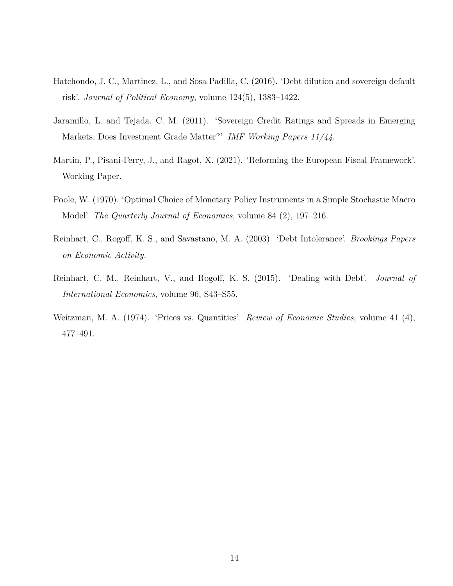- Hatchondo, J. C., Martinez, L., and Sosa Padilla, C. (2016). 'Debt dilution and sovereign default risk'. *Journal of Political Economy*, volume 124(5), 1383–1422.
- Jaramillo, L. and Tejada, C. M. (2011). 'Sovereign Credit Ratings and Spreads in Emerging Markets; Does Investment Grade Matter?' *IMF Working Papers 11/44*.
- Martin, P., Pisani-Ferry, J., and Ragot, X. (2021). 'Reforming the European Fiscal Framework'. Working Paper.
- Poole, W. (1970). 'Optimal Choice of Monetary Policy Instruments in a Simple Stochastic Macro Model'. *The Quarterly Journal of Economics*, volume 84 (2), 197–216.
- Reinhart, C., Rogoff, K. S., and Savastano, M. A. (2003). 'Debt Intolerance'. *Brookings Papers on Economic Activity*.
- Reinhart, C. M., Reinhart, V., and Rogoff, K. S. (2015). 'Dealing with Debt'. *Journal of International Economics*, volume 96, S43–S55.
- Weitzman, M. A. (1974). 'Prices vs. Quantities'. *Review of Economic Studies*, volume 41 (4), 477–491.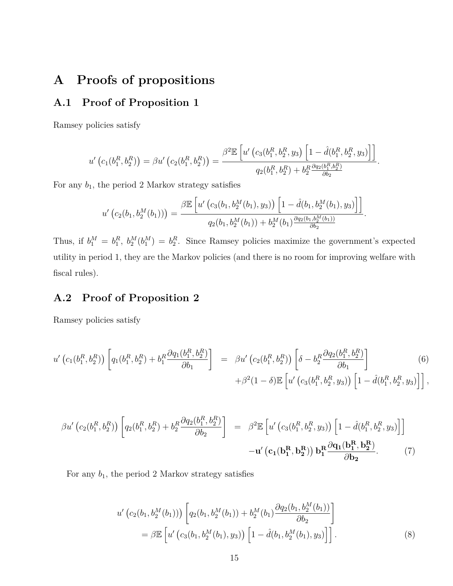## **A Proofs of propositions**

## **A.1 Proof of Proposition 1**

Ramsey policies satisfy

$$
u'\left(c_1(b_1^R, b_2^R)\right) = \beta u'\left(c_2(b_1^R, b_2^R)\right) = \frac{\beta^2 \mathbb{E}\left[u'\left(c_3(b_1^R, b_2^R, y_3)\left[1 - \hat{d}(b_1^R, b_2^R, y_3)\right]\right]\right]}{q_2(b_1^R, b_2^R) + b_2^R \frac{\partial q_2(b_1^R, b_2^R)}{\partial b_2}}.
$$

For any  $b_1$ , the period 2 Markov strategy satisfies

$$
u'\left(c_2(b_1,b_2^M(b_1))\right) = \frac{\beta \mathbb{E}\left[u'\left(c_3(b_1,b_2^M(b_1),y_3)\right)\left[1-\hat{d}(b_1,b_2^M(b_1),y_3)\right]\right]}{q_2(b_1,b_2^M(b_1)) + b_2^M(b_1)\frac{\partial q_2(b_1,b_2^M(b_1))}{\partial b_2}}.
$$

Thus, if  $b_1^M = b_1^R$ ,  $b_2^M(b_1^M) = b_2^R$ . Since Ramsey policies maximize the government's expected utility in period 1, they are the Markov policies (and there is no room for improving welfare with fiscal rules).

## **A.2 Proof of Proposition 2**

Ramsey policies satisfy

$$
u'\left(c_{1}(b_{1}^{R},b_{2}^{R})\right)\left[q_{1}(b_{1}^{R},b_{2}^{R})+b_{1}^{R}\frac{\partial q_{1}(b_{1}^{R},b_{2}^{R})}{\partial b_{1}}\right] = \beta u'\left(c_{2}(b_{1}^{R},b_{2}^{R})\right)\left[\delta-b_{2}^{R}\frac{\partial q_{2}(b_{1}^{R},b_{2}^{R})}{\partial b_{1}}\right] + \beta^{2}(1-\delta)\mathbb{E}\left[u'\left(c_{3}(b_{1}^{R},b_{2}^{R},y_{3})\right)\left[1-\hat{d}(b_{1}^{R},b_{2}^{R},y_{3})\right]\right],
$$
\n(6)

$$
\beta u' \left( c_2(b_1^R, b_2^R) \right) \left[ q_2(b_1^R, b_2^R) + b_2^R \frac{\partial q_2(b_1^R, b_2^R)}{\partial b_2} \right] = \beta^2 \mathbb{E} \left[ u' \left( c_3(b_1^R, b_2^R, y_3) \right) \left[ 1 - \hat{d}(b_1^R, b_2^R, y_3) \right] \right]
$$

$$
- u' \left( c_1(b_1^R, b_2^R) \right) b_1^R \frac{\partial q_1(b_1^R, b_2^R)}{\partial b_2}.
$$
 (7)

For any  $b_1$ , the period 2 Markov strategy satisfies

$$
u'\left(c_2(b_1, b_2^M(b_1))\right)\left[q_2(b_1, b_2^M(b_1)) + b_2^M(b_1)\frac{\partial q_2(b_1, b_2^M(b_1))}{\partial b_2}\right]
$$
  
=  $\beta \mathbb{E}\left[u'\left(c_3(b_1, b_2^M(b_1), y_3)\right)\left[1 - \hat{d}(b_1, b_2^M(b_1), y_3)\right]\right].$  (8)